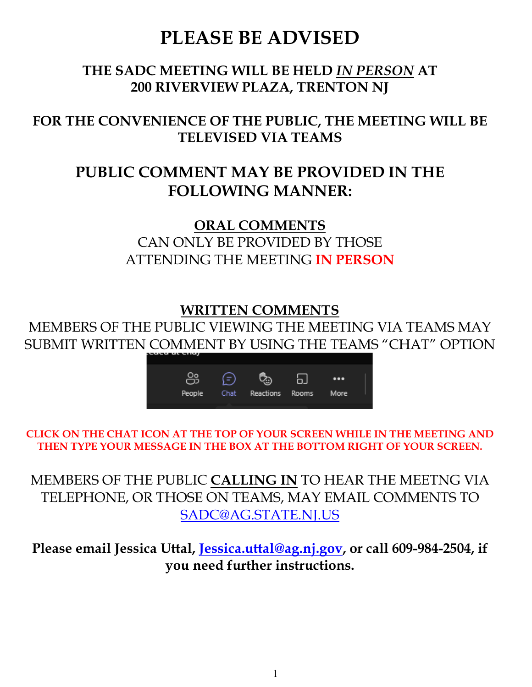# **PLEASE BE ADVISED**

## **THE SADC MEETING WILL BE HELD** *IN PERSON* **AT 200 RIVERVIEW PLAZA, TRENTON NJ**

## **FOR THE CONVENIENCE OF THE PUBLIC, THE MEETING WILL BE TELEVISED VIA TEAMS**

## **PUBLIC COMMENT MAY BE PROVIDED IN THE FOLLOWING MANNER:**

**ORAL COMMENTS** CAN ONLY BE PROVIDED BY THOSE ATTENDING THE MEETING **IN PERSON**

## **WRITTEN COMMENTS**

MEMBERS OF THE PUBLIC VIEWING THE MEETING VIA TEAMS MAY SUBMIT WRITTEN COMMENT BY USING THE TEAMS "CHAT" OPTION



**CLICK ON THE CHAT ICON AT THE TOP OF YOUR SCREEN WHILE IN THE MEETING AND THEN TYPE YOUR MESSAGE IN THE BOX AT THE BOTTOM RIGHT OF YOUR SCREEN.**

MEMBERS OF THE PUBLIC **CALLING IN** TO HEAR THE MEETNG VIA TELEPHONE, OR THOSE ON TEAMS, MAY EMAIL COMMENTS TO [SADC@AG.STATE.NJ.US](mailto:SADC@AG.STATE.NJ.US)

**Please email Jessica Uttal, [Jessica.uttal@ag.nj.gov,](mailto:Jessica.uttal@ag.nj.gov) or call 609-984-2504, if you need further instructions.**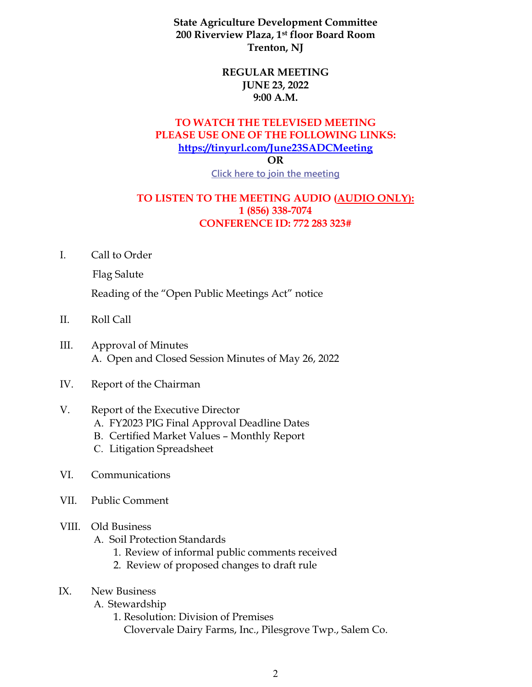**State Agriculture Development Committee 200 Riverview Plaza, 1st floor Board Room Trenton, NJ**

#### **REGULAR MEETING JUNE 23, 2022 9:00 A.M.**

#### **TO WATCH THE TELEVISED MEETING PLEASE USE ONE OF THE FOLLOWING LINKS: <https://tinyurl.com/June23SADCMeeting>**

**OR**

**[Click here to join the meeting](https://teams.microsoft.com/l/meetup-join/19%3ameeting_MGNmZmNlOTUtODAyYS00OWZiLWFkYjItOGJiYmRiODU5ZjRj%40thread.v2/0?context=%7b%22Tid%22%3a%225076c3d1-3802-4b9f-b36a-e0a41bd642a7%22%2c%22Oid%22%3a%22cdea687c-e40d-4142-a0b7-96a1ca3ed477%22%7d)**

#### **TO LISTEN TO THE MEETING AUDIO (AUDIO ONLY): 1 (856) 338-7074 CONFERENCE ID: 772 283 323#**

I. Call to Order

Flag Salute

Reading of the "Open Public Meetings Act" notice

- II. Roll Call
- III. Approval of Minutes A. Open and Closed Session Minutes of May 26, 2022
- IV. Report of the Chairman

#### V. Report of the Executive Director

- A. FY2023 PIG Final Approval Deadline Dates
- B. Certified Market Values Monthly Report
- C. Litigation Spreadsheet
- VI. Communications
- VII. Public Comment

#### VIII. Old Business

- A. Soil Protection Standards
	- 1. Review of informal public comments received
	- 2. Review of proposed changes to draft rule
- IX. New Business
	- A. Stewardship
		- 1. Resolution: Division of Premises

Clovervale Dairy Farms, Inc., Pilesgrove Twp., Salem Co.